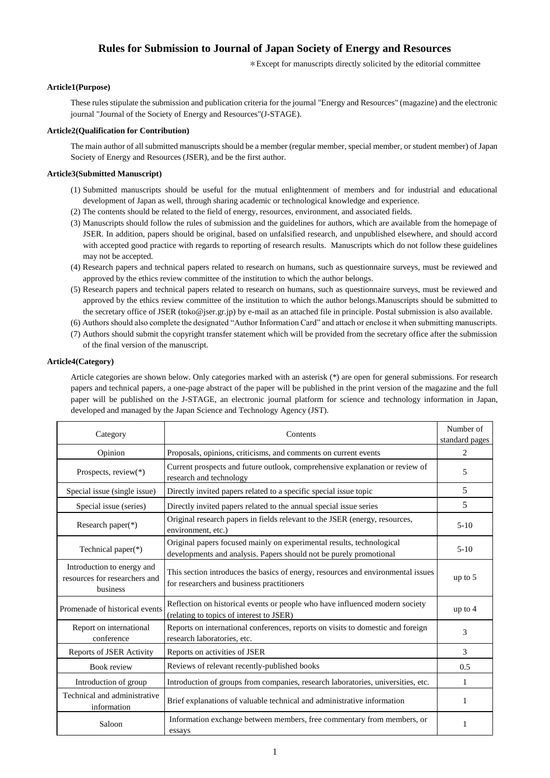# **Rules for Submission to Journal of Japan Society of Energy and Resources**

\*Except for manuscripts directly solicited by the editorial committee

# **Article1(Purpose)**

These rules stipulate the submission and publication criteria for the journal "Energy and Resources" (magazine) and the electronic journal "Journal of the Society of Energy and Resources"(J-STAGE).

## **Article2(Qualification for Contribution)**

The main author of all submitted manuscripts should be a member (regular member, special member, or student member) of Japan Society of Energy and Resources (JSER), and be the first author.

## **Article3(Submitted Manuscript)**

- (1) Submitted manuscripts should be useful for the mutual enlightenment of members and for industrial and educational development of Japan as well, through sharing academic or technological knowledge and experience.
- (2) The contents should be related to the field of energy, resources, environment, and associated fields.
- (3) Manuscripts should follow the rules of submission and the guidelines for authors, which are available from the homepage of JSER. In addition, papers should be original, based on unfalsified research, and unpublished elsewhere, and should accord with accepted good practice with regards to reporting of research results. Manuscripts which do not follow these guidelines may not be accepted.
- (4) Research papers and technical papers related to research on humans, such as questionnaire surveys, must be reviewed and approved by the ethics review committee of the institution to which the author belongs.
- (5) Research papers and technical papers related to research on humans, such as questionnaire surveys, must be reviewed and approved by the ethics review committee of the institution to which the author belongs.Manuscripts should be submitted to the secretary office of JSER (toko@jser.gr.jp) by e-mail as an attached file in principle. Postal submission is also available.
- (6) Authors should also complete the designated "Author Information Card" and attach or enclose it when submitting manuscripts.
- (7) Authors should submit the copyright transfer statement which will be provided from the secretary office after the submission of the final version of the manuscript.

# **Article4(Category)**

Article categories are shown below. Only categories marked with an asterisk (\*) are open for general submissions. For research papers and technical papers, a one-page abstract of the paper will be published in the print version of the magazine and the full paper will be published on the J-STAGE, an electronic journal platform for science and technology information in Japan, developed and managed by the Japan Science and Technology Agency (JST).

| Category                                                                | Contents                                                                                                                                    | Number of<br>standard pages |
|-------------------------------------------------------------------------|---------------------------------------------------------------------------------------------------------------------------------------------|-----------------------------|
| Opinion                                                                 | Proposals, opinions, criticisms, and comments on current events                                                                             | $\overline{c}$              |
| Prospects, review(*)                                                    | Current prospects and future outlook, comprehensive explanation or review of<br>research and technology                                     | 5                           |
| Special issue (single issue)                                            | Directly invited papers related to a specific special issue topic                                                                           | 5                           |
| Special issue (series)                                                  | Directly invited papers related to the annual special issue series                                                                          | 5                           |
| Research paper $(*)$                                                    | Original research papers in fields relevant to the JSER (energy, resources,<br>environment, etc.)                                           | $5-10$                      |
| Technical paper(*)                                                      | Original papers focused mainly on experimental results, technological<br>developments and analysis. Papers should not be purely promotional | $5-10$                      |
| Introduction to energy and<br>resources for researchers and<br>business | This section introduces the basics of energy, resources and environmental issues<br>for researchers and business practitioners              | up to $5$                   |
| Promenade of historical events                                          | Reflection on historical events or people who have influenced modern society<br>(relating to topics of interest to JSER)                    | up to $4$                   |
| Report on international<br>conference                                   | Reports on international conferences, reports on visits to domestic and foreign<br>research laboratories, etc.                              | 3                           |
| Reports of JSER Activity                                                | Reports on activities of JSER                                                                                                               | 3                           |
| <b>Book review</b>                                                      | Reviews of relevant recently-published books                                                                                                | 0.5                         |
| Introduction of group                                                   | Introduction of groups from companies, research laboratories, universities, etc.                                                            | 1                           |
| Technical and administrative<br>information                             | Brief explanations of valuable technical and administrative information                                                                     | 1                           |
| Saloon                                                                  | Information exchange between members, free commentary from members, or<br>essays                                                            |                             |